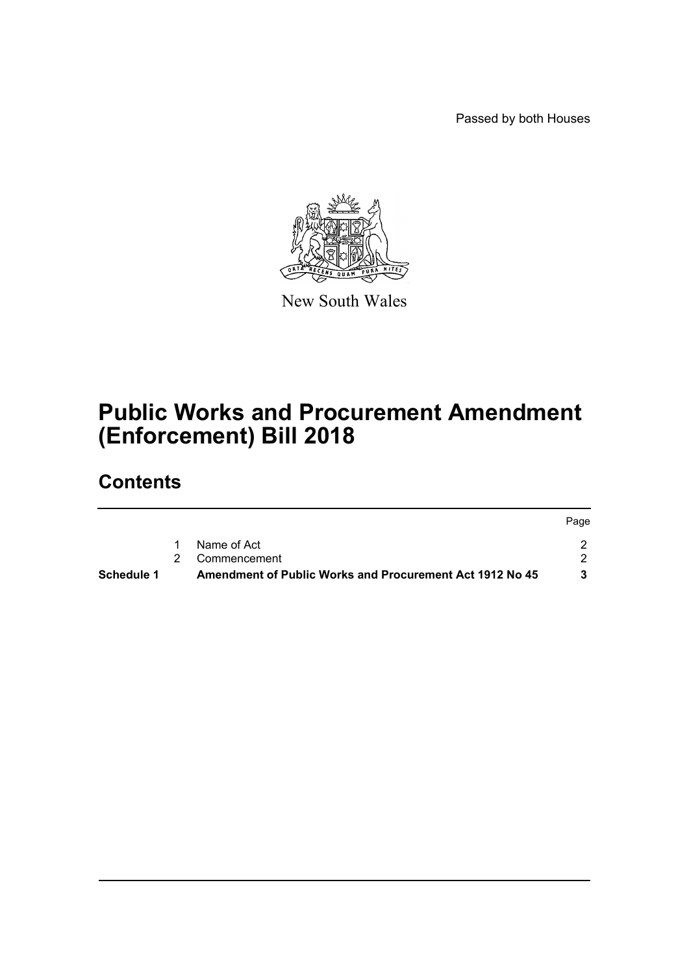Passed by both Houses



New South Wales

# **Public Works and Procurement Amendment (Enforcement) Bill 2018**

# **Contents**

|            |                                                                 | Page |
|------------|-----------------------------------------------------------------|------|
|            | Name of Act                                                     |      |
|            | 2 Commencement                                                  |      |
| Schedule 1 | <b>Amendment of Public Works and Procurement Act 1912 No 45</b> |      |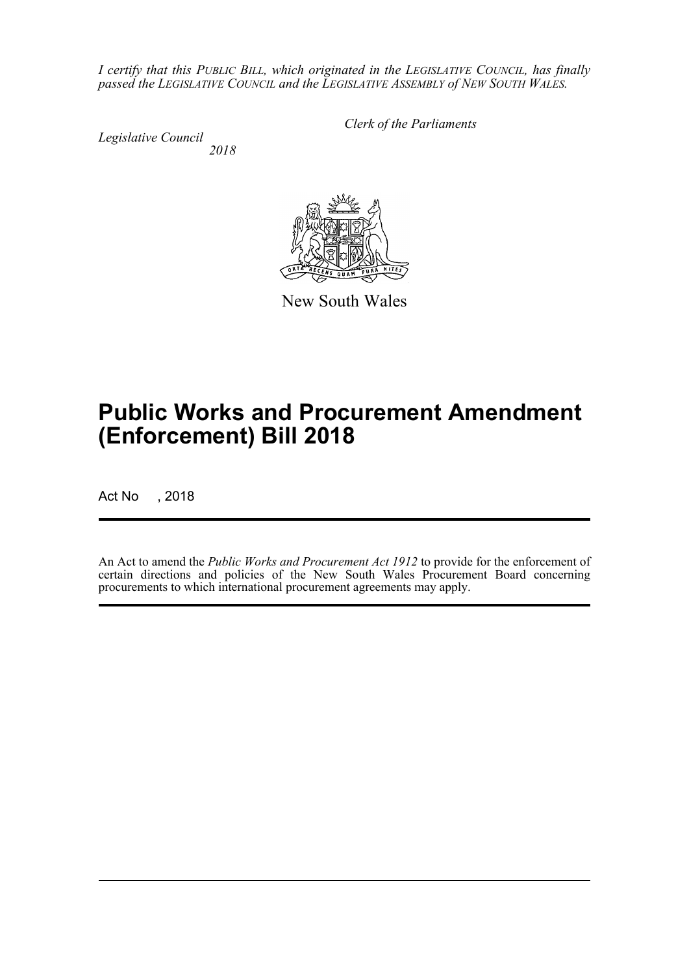*I certify that this PUBLIC BILL, which originated in the LEGISLATIVE COUNCIL, has finally passed the LEGISLATIVE COUNCIL and the LEGISLATIVE ASSEMBLY of NEW SOUTH WALES.*

*Legislative Council*

*Clerk of the Parliaments*

 *2018*



New South Wales

# **Public Works and Procurement Amendment (Enforcement) Bill 2018**

Act No , 2018

An Act to amend the *Public Works and Procurement Act 1912* to provide for the enforcement of certain directions and policies of the New South Wales Procurement Board concerning procurements to which international procurement agreements may apply.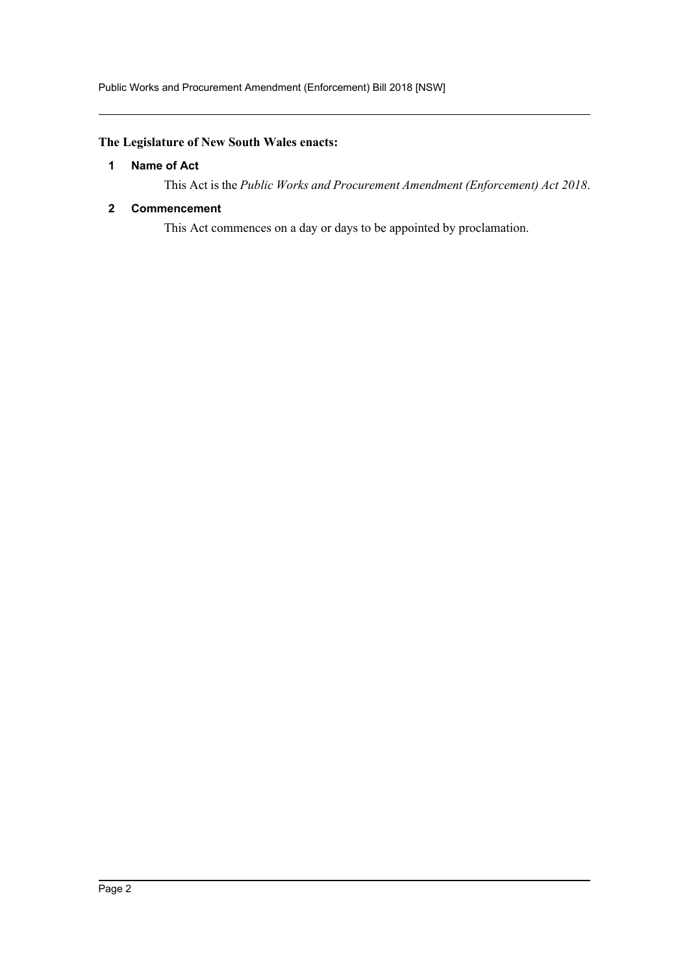# <span id="page-2-0"></span>**The Legislature of New South Wales enacts:**

# **1 Name of Act**

This Act is the *Public Works and Procurement Amendment (Enforcement) Act 2018*.

### <span id="page-2-1"></span>**2 Commencement**

This Act commences on a day or days to be appointed by proclamation.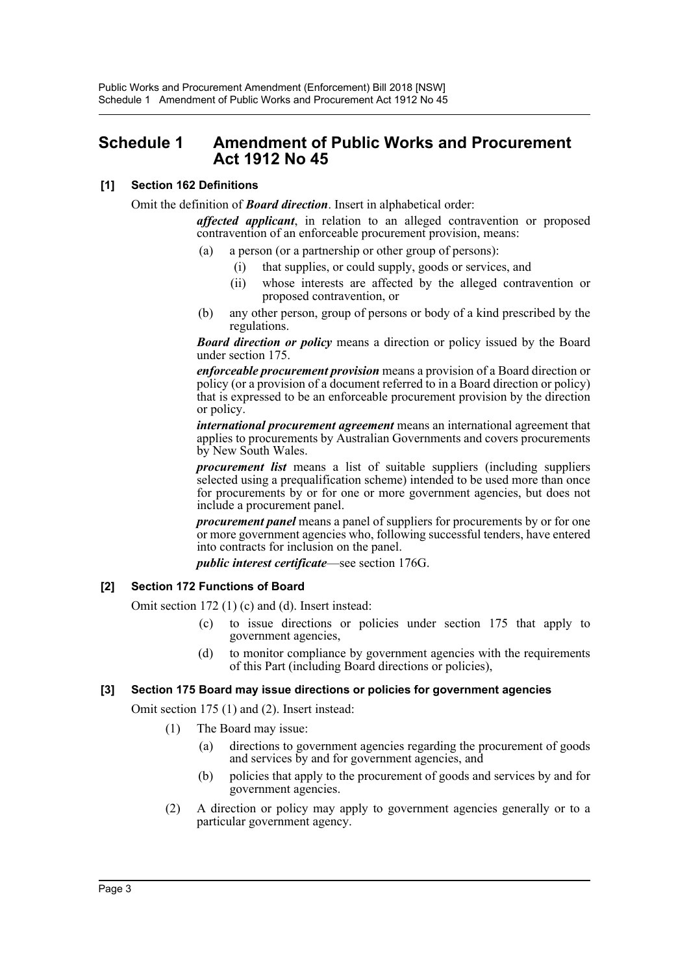# <span id="page-3-0"></span>**Schedule 1 Amendment of Public Works and Procurement Act 1912 No 45**

# **[1] Section 162 Definitions**

Omit the definition of *Board direction*. Insert in alphabetical order:

*affected applicant*, in relation to an alleged contravention or proposed contravention of an enforceable procurement provision, means:

- (a) a person (or a partnership or other group of persons):
	- (i) that supplies, or could supply, goods or services, and
	- (ii) whose interests are affected by the alleged contravention or proposed contravention, or
- (b) any other person, group of persons or body of a kind prescribed by the regulations.

*Board direction or policy* means a direction or policy issued by the Board under section 175.

*enforceable procurement provision* means a provision of a Board direction or policy (or a provision of a document referred to in a Board direction or policy) that is expressed to be an enforceable procurement provision by the direction or policy.

*international procurement agreement* means an international agreement that applies to procurements by Australian Governments and covers procurements by New South Wales.

*procurement list* means a list of suitable suppliers (including suppliers selected using a prequalification scheme) intended to be used more than once for procurements by or for one or more government agencies, but does not include a procurement panel.

*procurement panel* means a panel of suppliers for procurements by or for one or more government agencies who, following successful tenders, have entered into contracts for inclusion on the panel.

*public interest certificate*—see section 176G.

# **[2] Section 172 Functions of Board**

Omit section 172 (1) (c) and (d). Insert instead:

- (c) to issue directions or policies under section 175 that apply to government agencies,
- (d) to monitor compliance by government agencies with the requirements of this Part (including Board directions or policies),

#### **[3] Section 175 Board may issue directions or policies for government agencies**

Omit section 175 (1) and (2). Insert instead:

- (1) The Board may issue:
	- (a) directions to government agencies regarding the procurement of goods and services by and for government agencies, and
	- (b) policies that apply to the procurement of goods and services by and for government agencies.
- (2) A direction or policy may apply to government agencies generally or to a particular government agency.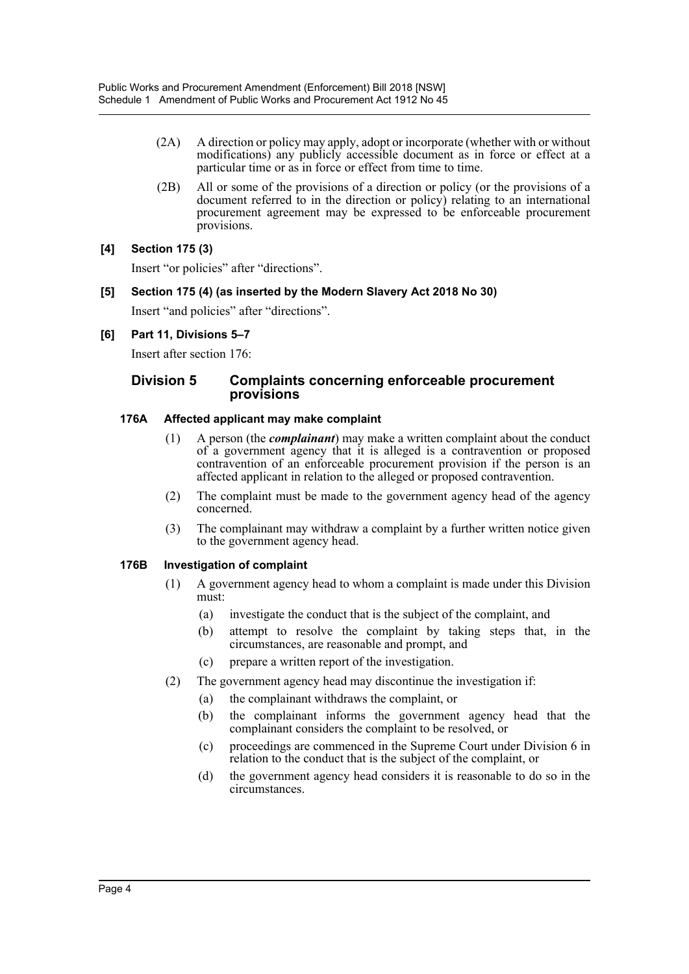- (2A) A direction or policy may apply, adopt or incorporate (whether with or without modifications) any publicly accessible document as in force or effect at a particular time or as in force or effect from time to time.
- (2B) All or some of the provisions of a direction or policy (or the provisions of a document referred to in the direction or policy) relating to an international procurement agreement may be expressed to be enforceable procurement provisions.

# **[4] Section 175 (3)**

Insert "or policies" after "directions".

#### **[5] Section 175 (4) (as inserted by the Modern Slavery Act 2018 No 30)**

Insert "and policies" after "directions".

#### **[6] Part 11, Divisions 5–7**

Insert after section 176:

# **Division 5 Complaints concerning enforceable procurement provisions**

#### **176A Affected applicant may make complaint**

- (1) A person (the *complainant*) may make a written complaint about the conduct of a government agency that it is alleged is a contravention or proposed contravention of an enforceable procurement provision if the person is an affected applicant in relation to the alleged or proposed contravention.
- (2) The complaint must be made to the government agency head of the agency concerned.
- (3) The complainant may withdraw a complaint by a further written notice given to the government agency head.

#### **176B Investigation of complaint**

- (1) A government agency head to whom a complaint is made under this Division must:
	- (a) investigate the conduct that is the subject of the complaint, and
	- (b) attempt to resolve the complaint by taking steps that, in the circumstances, are reasonable and prompt, and
	- (c) prepare a written report of the investigation.
- (2) The government agency head may discontinue the investigation if:
	- (a) the complainant withdraws the complaint, or
	- (b) the complainant informs the government agency head that the complainant considers the complaint to be resolved, or
	- (c) proceedings are commenced in the Supreme Court under Division 6 in relation to the conduct that is the subject of the complaint, or
	- (d) the government agency head considers it is reasonable to do so in the circumstances.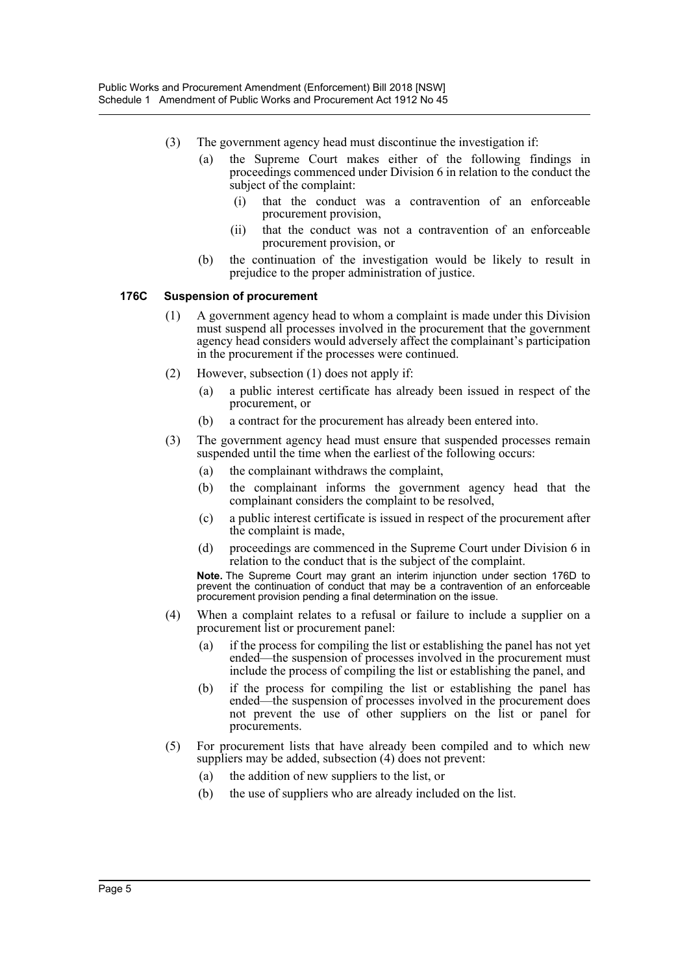- (3) The government agency head must discontinue the investigation if:
	- (a) the Supreme Court makes either of the following findings in proceedings commenced under Division 6 in relation to the conduct the subject of the complaint:
		- (i) that the conduct was a contravention of an enforceable procurement provision,
		- (ii) that the conduct was not a contravention of an enforceable procurement provision, or
	- (b) the continuation of the investigation would be likely to result in prejudice to the proper administration of justice.

#### **176C Suspension of procurement**

- (1) A government agency head to whom a complaint is made under this Division must suspend all processes involved in the procurement that the government agency head considers would adversely affect the complainant's participation in the procurement if the processes were continued.
- (2) However, subsection (1) does not apply if:
	- (a) a public interest certificate has already been issued in respect of the procurement, or
	- (b) a contract for the procurement has already been entered into.
- (3) The government agency head must ensure that suspended processes remain suspended until the time when the earliest of the following occurs:
	- (a) the complainant withdraws the complaint,
	- (b) the complainant informs the government agency head that the complainant considers the complaint to be resolved,
	- (c) a public interest certificate is issued in respect of the procurement after the complaint is made,
	- (d) proceedings are commenced in the Supreme Court under Division 6 in relation to the conduct that is the subject of the complaint.

**Note.** The Supreme Court may grant an interim injunction under section 176D to prevent the continuation of conduct that may be a contravention of an enforceable procurement provision pending a final determination on the issue.

- (4) When a complaint relates to a refusal or failure to include a supplier on a procurement list or procurement panel:
	- (a) if the process for compiling the list or establishing the panel has not yet ended—the suspension of processes involved in the procurement must include the process of compiling the list or establishing the panel, and
	- (b) if the process for compiling the list or establishing the panel has ended—the suspension of processes involved in the procurement does not prevent the use of other suppliers on the list or panel for procurements.
- (5) For procurement lists that have already been compiled and to which new suppliers may be added, subsection (4) does not prevent:
	- (a) the addition of new suppliers to the list, or
	- (b) the use of suppliers who are already included on the list.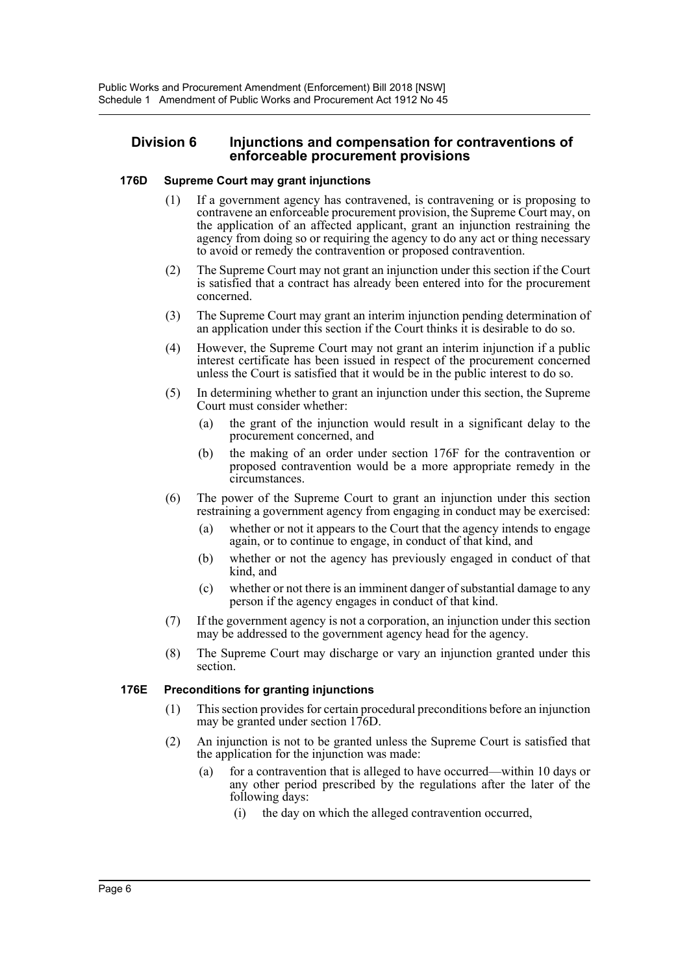### **Division 6 Injunctions and compensation for contraventions of enforceable procurement provisions**

#### **176D Supreme Court may grant injunctions**

- (1) If a government agency has contravened, is contravening or is proposing to contravene an enforceable procurement provision, the Supreme Court may, on the application of an affected applicant, grant an injunction restraining the agency from doing so or requiring the agency to do any act or thing necessary to avoid or remedy the contravention or proposed contravention.
- (2) The Supreme Court may not grant an injunction under this section if the Court is satisfied that a contract has already been entered into for the procurement concerned.
- (3) The Supreme Court may grant an interim injunction pending determination of an application under this section if the Court thinks it is desirable to do so.
- (4) However, the Supreme Court may not grant an interim injunction if a public interest certificate has been issued in respect of the procurement concerned unless the Court is satisfied that it would be in the public interest to do so.
- (5) In determining whether to grant an injunction under this section, the Supreme Court must consider whether:
	- (a) the grant of the injunction would result in a significant delay to the procurement concerned, and
	- (b) the making of an order under section 176F for the contravention or proposed contravention would be a more appropriate remedy in the circumstances.
- (6) The power of the Supreme Court to grant an injunction under this section restraining a government agency from engaging in conduct may be exercised:
	- (a) whether or not it appears to the Court that the agency intends to engage again, or to continue to engage, in conduct of that kind, and
	- (b) whether or not the agency has previously engaged in conduct of that kind, and
	- (c) whether or not there is an imminent danger of substantial damage to any person if the agency engages in conduct of that kind.
- (7) If the government agency is not a corporation, an injunction under this section may be addressed to the government agency head for the agency.
- (8) The Supreme Court may discharge or vary an injunction granted under this section.

#### **176E Preconditions for granting injunctions**

- (1) This section provides for certain procedural preconditions before an injunction may be granted under section 176D.
- (2) An injunction is not to be granted unless the Supreme Court is satisfied that the application for the injunction was made:
	- (a) for a contravention that is alleged to have occurred—within 10 days or any other period prescribed by the regulations after the later of the following days:
		- (i) the day on which the alleged contravention occurred,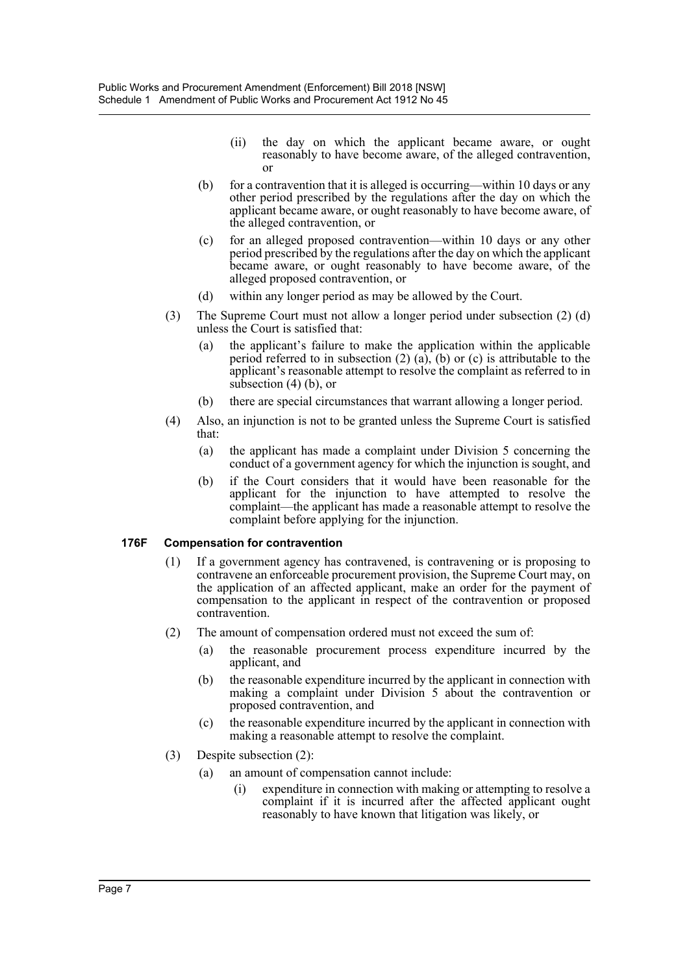- (ii) the day on which the applicant became aware, or ought reasonably to have become aware, of the alleged contravention, or
- (b) for a contravention that it is alleged is occurring—within 10 days or any other period prescribed by the regulations after the day on which the applicant became aware, or ought reasonably to have become aware, of the alleged contravention, or
- (c) for an alleged proposed contravention—within 10 days or any other period prescribed by the regulations after the day on which the applicant became aware, or ought reasonably to have become aware, of the alleged proposed contravention, or
- (d) within any longer period as may be allowed by the Court.
- (3) The Supreme Court must not allow a longer period under subsection (2) (d) unless the Court is satisfied that:
	- (a) the applicant's failure to make the application within the applicable period referred to in subsection  $(2)$   $(a)$ ,  $(b)$  or  $(c)$  is attributable to the applicant's reasonable attempt to resolve the complaint as referred to in subsection (4) (b), or
	- (b) there are special circumstances that warrant allowing a longer period.
- (4) Also, an injunction is not to be granted unless the Supreme Court is satisfied that:
	- (a) the applicant has made a complaint under Division 5 concerning the conduct of a government agency for which the injunction is sought, and
	- (b) if the Court considers that it would have been reasonable for the applicant for the injunction to have attempted to resolve the complaint—the applicant has made a reasonable attempt to resolve the complaint before applying for the injunction.

#### **176F Compensation for contravention**

- (1) If a government agency has contravened, is contravening or is proposing to contravene an enforceable procurement provision, the Supreme Court may, on the application of an affected applicant, make an order for the payment of compensation to the applicant in respect of the contravention or proposed contravention.
- (2) The amount of compensation ordered must not exceed the sum of:
	- (a) the reasonable procurement process expenditure incurred by the applicant, and
	- (b) the reasonable expenditure incurred by the applicant in connection with making a complaint under Division 5 about the contravention or proposed contravention, and
	- (c) the reasonable expenditure incurred by the applicant in connection with making a reasonable attempt to resolve the complaint.
- (3) Despite subsection (2):
	- (a) an amount of compensation cannot include:
		- (i) expenditure in connection with making or attempting to resolve a complaint if it is incurred after the affected applicant ought reasonably to have known that litigation was likely, or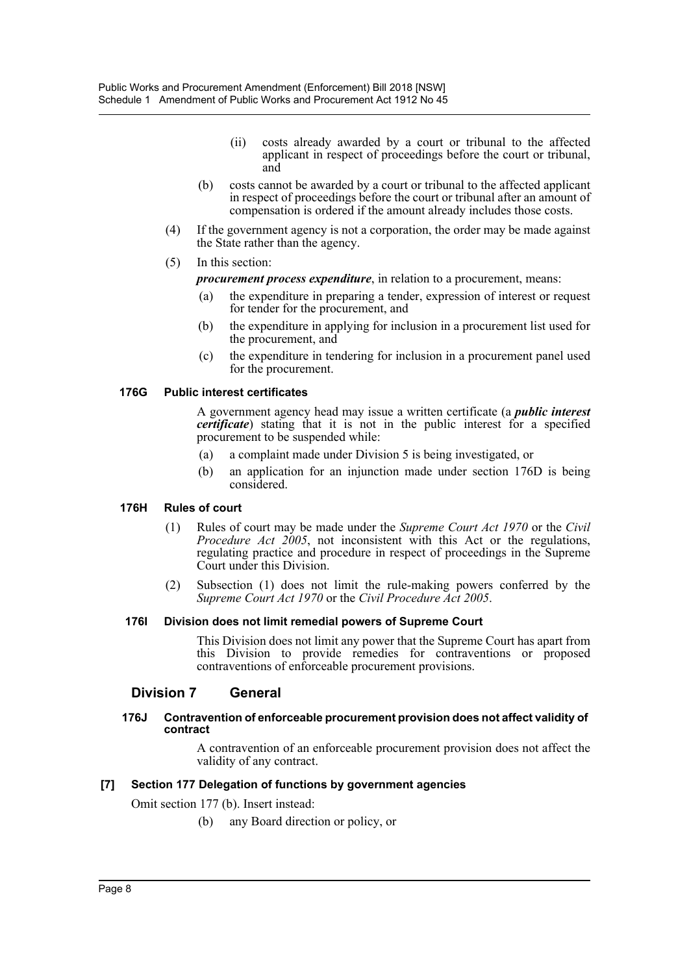- (ii) costs already awarded by a court or tribunal to the affected applicant in respect of proceedings before the court or tribunal, and
- (b) costs cannot be awarded by a court or tribunal to the affected applicant in respect of proceedings before the court or tribunal after an amount of compensation is ordered if the amount already includes those costs.
- (4) If the government agency is not a corporation, the order may be made against the State rather than the agency.
- (5) In this section:
	- *procurement process expenditure*, in relation to a procurement, means:
		- (a) the expenditure in preparing a tender, expression of interest or request for tender for the procurement, and
		- (b) the expenditure in applying for inclusion in a procurement list used for the procurement, and
		- (c) the expenditure in tendering for inclusion in a procurement panel used for the procurement.

#### **176G Public interest certificates**

A government agency head may issue a written certificate (a *public interest certificate*) stating that it is not in the public interest for a specified procurement to be suspended while:

- (a) a complaint made under Division 5 is being investigated, or
- (b) an application for an injunction made under section 176D is being considered.

#### **176H Rules of court**

- (1) Rules of court may be made under the *Supreme Court Act 1970* or the *Civil Procedure Act 2005*, not inconsistent with this Act or the regulations, regulating practice and procedure in respect of proceedings in the Supreme Court under this Division.
- (2) Subsection (1) does not limit the rule-making powers conferred by the *Supreme Court Act 1970* or the *Civil Procedure Act 2005*.

#### **176I Division does not limit remedial powers of Supreme Court**

This Division does not limit any power that the Supreme Court has apart from this Division to provide remedies for contraventions or proposed contraventions of enforceable procurement provisions.

# **Division 7 General**

#### **176J Contravention of enforceable procurement provision does not affect validity of contract**

A contravention of an enforceable procurement provision does not affect the validity of any contract.

#### **[7] Section 177 Delegation of functions by government agencies**

Omit section 177 (b). Insert instead:

(b) any Board direction or policy, or